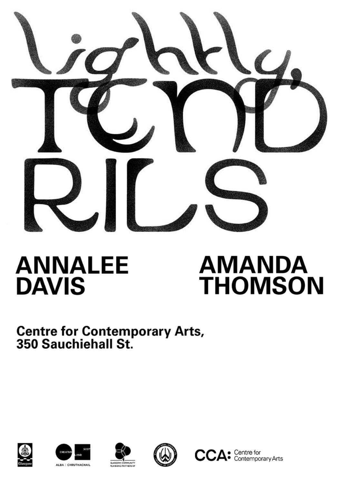

## **ANNALEE DAVIS**

# **AMANDA THOMSON**

**Centre for Contemporary Arts,<br>350 Sauchiehall St.** 











ALRA | CHRUTHACHAIL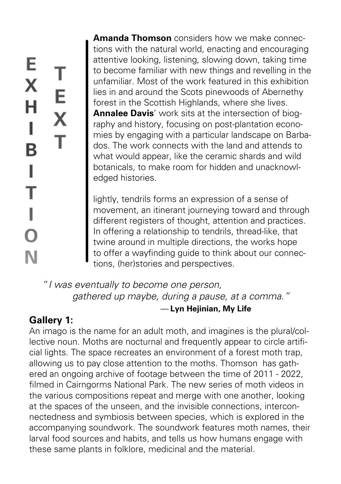Ė

 $\overline{\mathsf{x}}$ 

**Amanda Thomson** considers how we make connections with the natural world, enacting and encouraging attentive looking, listening, slowing down, taking time to become familiar with new things and revelling in the unfamiliar. Most of the work featured in this exhibition lies in and around the Scots pinewoods of Abernethy forest in the Scottish Highlands, where she lives. **Annalee Davis**' work sits at the intersection of biography and history, focusing on post-plantation economies by engaging with a particular landscape on Barbados. The work connects with the land and attends to what would appear, like the ceramic shards and wild botanicals, to make room for hidden and unacknowledged histories.

lightly, tendrils forms an expression of a sense of movement, an itinerant journeying toward and through different registers of thought, attention and practices. In offering a relationship to tendrils, thread-like, that twine around in multiple directions, the works hope to offer a wayfinding guide to think about our connections, (her)stories and perspectives.

"*I was eventually to become one person, gathered up maybe, during a pause, at a comma." —* **Lyn Hejinian, My Life**

## **Gallery 1:**

An imago is the name for an adult moth, and imagines is the plural/collective noun. Moths are nocturnal and frequently appear to circle artificial lights. The space recreates an environment of a forest moth trap, allowing us to pay close attention to the moths. Thomson has gathered an ongoing archive of footage between the time of 2011 - 2022, filmed in Cairngorms National Park. The new series of moth videos in the various compositions repeat and merge with one another, looking at the spaces of the unseen, and the invisible connections, interconnectedness and symbiosis between species, which is explored in the accompanying soundwork. The soundwork features moth names, their larval food sources and habits, and tells us how humans engage with these same plants in folklore, medicinal and the material.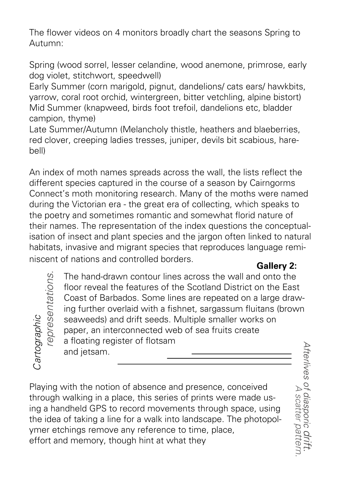The flower videos on 4 monitors broadly chart the seasons Spring to Autumn:

Spring (wood sorrel, lesser celandine, wood anemone, primrose, early dog violet, stitchwort, speedwell)

Early Summer (corn marigold, pignut, dandelions/ cats ears/ hawkbits, yarrow, coral root orchid, wintergreen, bitter vetchling, alpine bistort) Mid Summer (knapweed, birds foot trefoil, dandelions etc, bladder campion, thyme)

Late Summer/Autumn (Melancholy thistle, heathers and blaeberries, red clover, creeping ladies tresses, juniper, devils bit scabious, harebell)

An index of moth names spreads across the wall, the lists reflect the different species captured in the course of a season by Cairngorms Connect's moth monitoring research. Many of the moths were named during the Victorian era - the great era of collecting, which speaks to the poetry and sometimes romantic and somewhat florid nature of their names. The representation of the index questions the conceptualisation of insect and plant species and the jargon often linked to natural habitats, invasive and migrant species that reproduces language reminiscent of nations and controlled borders. **Gallery 2:**

epresentations. *representations.* The hand-drawn contour lines across the wall and onto the floor reveal the features of the Scotland District on the East Coast of Barbados. Some lines are repeated on a large drawing further overlaid with a fishnet, sargassum fluitans (brown seaweeds) and drift seeds. Multiple smaller works on paper, an interconnected web of sea fruits create  *Afterlives of diasporic drift. A scatter pattern.* a floating register of flotsam Afterlives of diasporic drift.<br>Afterlives of diasporic drift. and jetsam.

Playing with the notion of absence and presence, conceived through walking in a place, this series of prints were made using a handheld GPS to record movements through space, using the idea of taking a line for a walk into landscape. The photopolymer etchings remove any reference to time, place, effort and memory, though hint at what they

 *Cartographic* 

Cartographic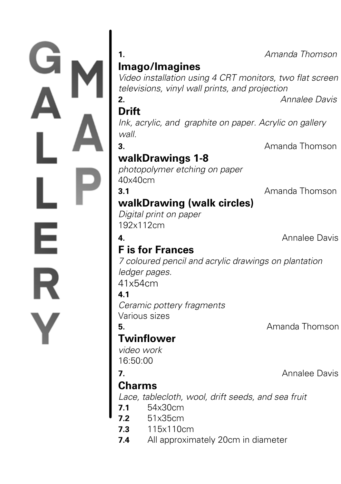**1.** *Amanda Thomson* **Imago/Imagines**  Video installation using 4 CRT monitors, two flat screen *televisions, vinyl wall prints, and projection* **2.** *Annalee Davis* **Drift**  *Ink, acrylic, and graphite on paper. Acrylic on gallery wall.* **3. Amanda Thomson walkDrawings 1-8**  *photopolymer etching on paper* 40x40cm **3.1 Amanda Thomson walkDrawing (walk circles)** *Digital print on paper* 192x112cm E **4. Annalee Davis F is for Frances**  *7 coloured pencil and acrylic drawings on plantation ledger pages.* 41x54cm **4.1** *Ceramic pottery fragments* Various sizes **5. Amanda Thomson Twinflower** *video work* 16:50:00 **7. Annalee Davis Charms**  *Lace, tablecloth, wool, drift seeds, and sea fruit* **7.1** 54x30cm **7.2** 51x35cm **7.3** 115x110cm **7.4** All approximately 20cm in diameter

R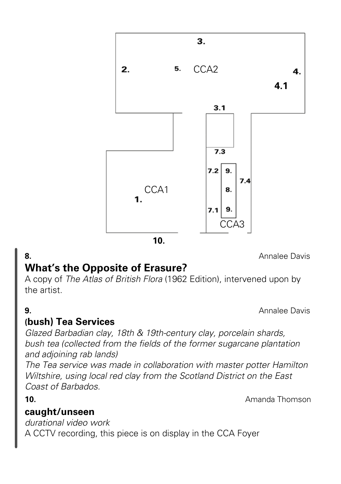

#### **8. 8. Annalee Davis**

## **What's the Opposite of Erasure?**

A copy of *The Atlas of British Flora* (1962 Edition), intervened upon by the artist.

**9. 9. 19. 19. 19. 19. 19. 19. 19. 19. 19. 19. 19. 19. 19. 19. 19. 19. 19. 19. 19. 19. 19. 19. 19. 19. 19. 19. 19. 19. 19. 19. 19. 19. 19. 19. 19. 1** 

#### **(bush) Tea Services**

*Glazed Barbadian clay, 18th & 19th-century clay, porcelain shards,*  bush tea (collected from the fields of the former sugarcane plantation *and adjoining rab lands)*

*The Tea service was made in collaboration with master potter Hamilton Wiltshire, using local red clay from the Scotland District on the East Coast of Barbados.*

**10. 10. Amanda Thomson** 

#### **caught/unseen** *durational video work*

A CCTV recording, this piece is on display in the CCA Foyer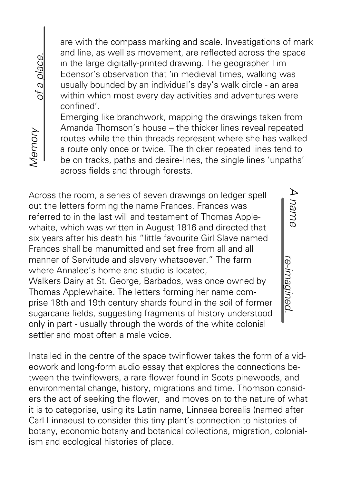are with the compass marking and scale. Investigations of mark and line, as well as movement, are reflected across the space in the large digitally-printed drawing. The geographer Tim Edensor's observation that 'in medieval times, walking was usually bounded by an individual's day's walk circle - an area within which most every day activities and adventures were confined'.

Emerging like branchwork, mapping the drawings taken from Amanda Thomson's house – the thicker lines reveal repeated routes while the thin threads represent where she has walked a route only once or twice. The thicker repeated lines tend to be on tracks, paths and desire-lines, the single lines 'unpaths' across fields and through forests.

*A name re-imagined.*

re-imagined.

A name

Across the room, a series of seven drawings on ledger spell out the letters forming the name Frances. Frances was referred to in the last will and testament of Thomas Applewhaite, which was written in August 1816 and directed that six years after his death his "little favourite Girl Slave named Frances shall be manumitted and set free from all and all manner of Servitude and slavery whatsoever." The farm where Annalee's home and studio is located, Walkers Dairy at St. George, Barbados, was once owned by

Thomas Applewhaite. The letters forming her name comprise 18th and 19th century shards found in the soil of former sugarcane fields, suggesting fragments of history understood only in part - usually through the words of the white colonial settler and most often a male voice.

Installed in the centre of the space twinflower takes the form of a videowork and long-form audio essay that explores the connections between the twinflowers, a rare flower found in Scots pinewoods, and environmental change, history, migrations and time. Thomson considers the act of seeking the flower, and moves on to the nature of what it is to categorise, using its Latin name, Linnaea borealis (named after Carl Linnaeus) to consider this tiny plant's connection to histories of botany, economic botany and botanical collections, migration, colonialism and ecological histories of place.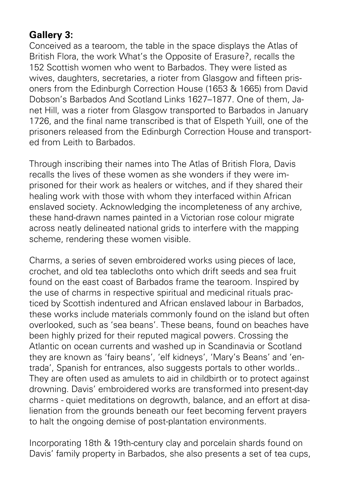### **Gallery 3:**

Conceived as a tearoom, the table in the space displays the Atlas of British Flora, the work What's the Opposite of Erasure?, recalls the 152 Scottish women who went to Barbados. They were listed as wives, daughters, secretaries, a rioter from Glasgow and fifteen prisoners from the Edinburgh Correction House (1653 & 1665) from David Dobson's Barbados And Scotland Links 1627–1877. One of them, Janet Hill, was a rioter from Glasgow transported to Barbados in January 1726, and the final name transcribed is that of Elspeth Yuill, one of the prisoners released from the Edinburgh Correction House and transported from Leith to Barbados.

Through inscribing their names into The Atlas of British Flora, Davis recalls the lives of these women as she wonders if they were imprisoned for their work as healers or witches, and if they shared their healing work with those with whom they interfaced within African enslaved society. Acknowledging the incompleteness of any archive, these hand-drawn names painted in a Victorian rose colour migrate across neatly delineated national grids to interfere with the mapping scheme, rendering these women visible.

Charms, a series of seven embroidered works using pieces of lace, crochet, and old tea tablecloths onto which drift seeds and sea fruit found on the east coast of Barbados frame the tearoom. Inspired by the use of charms in respective spiritual and medicinal rituals practiced by Scottish indentured and African enslaved labour in Barbados, these works include materials commonly found on the island but often overlooked, such as 'sea beans'. These beans, found on beaches have been highly prized for their reputed magical powers. Crossing the Atlantic on ocean currents and washed up in Scandinavia or Scotland they are known as 'fairy beans', 'elf kidneys', 'Mary's Beans' and 'entrada', Spanish for entrances, also suggests portals to other worlds.. They are often used as amulets to aid in childbirth or to protect against drowning. Davis' embroidered works are transformed into present-day charms - quiet meditations on degrowth, balance, and an effort at disalienation from the grounds beneath our feet becoming fervent prayers to halt the ongoing demise of post-plantation environments.

Incorporating 18th & 19th-century clay and porcelain shards found on Davis' family property in Barbados, she also presents a set of tea cups,